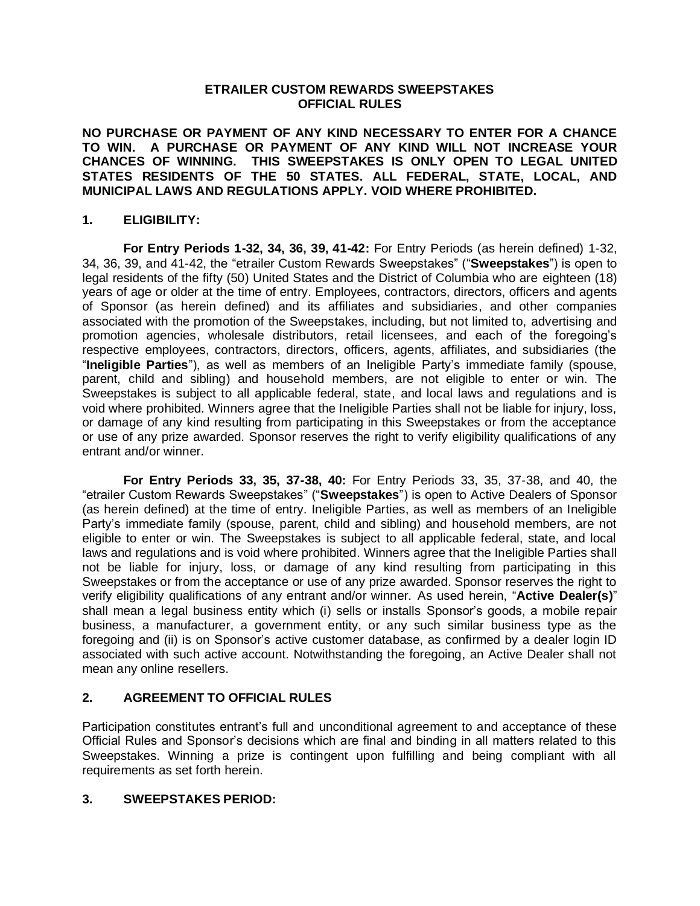## **ETRAILER CUSTOM REWARDS SWEEPSTAKES OFFICIAL RULES**

**NO PURCHASE OR PAYMENT OF ANY KIND NECESSARY TO ENTER FOR A CHANCE TO WIN. A PURCHASE OR PAYMENT OF ANY KIND WILL NOT INCREASE YOUR CHANCES OF WINNING. THIS SWEEPSTAKES IS ONLY OPEN TO LEGAL UNITED STATES RESIDENTS OF THE 50 STATES. ALL FEDERAL, STATE, LOCAL, AND MUNICIPAL LAWS AND REGULATIONS APPLY. VOID WHERE PROHIBITED.** 

## **1. ELIGIBILITY:**

**For Entry Periods 1-32, 34, 36, 39, 41-42:** For Entry Periods (as herein defined) 1-32, 34, 36, 39, and 41-42, the "etrailer Custom Rewards Sweepstakes" ("**Sweepstakes**") is open to legal residents of the fifty (50) United States and the District of Columbia who are eighteen (18) years of age or older at the time of entry. Employees, contractors, directors, officers and agents of Sponsor (as herein defined) and its affiliates and subsidiaries, and other companies associated with the promotion of the Sweepstakes, including, but not limited to, advertising and promotion agencies, wholesale distributors, retail licensees, and each of the foregoing's respective employees, contractors, directors, officers, agents, affiliates, and subsidiaries (the "**Ineligible Parties**"), as well as members of an Ineligible Party's immediate family (spouse, parent, child and sibling) and household members, are not eligible to enter or win. The Sweepstakes is subject to all applicable federal, state, and local laws and regulations and is void where prohibited. Winners agree that the Ineligible Parties shall not be liable for injury, loss, or damage of any kind resulting from participating in this Sweepstakes or from the acceptance or use of any prize awarded. Sponsor reserves the right to verify eligibility qualifications of any entrant and/or winner.

**For Entry Periods 33, 35, 37-38, 40:** For Entry Periods 33, 35, 37-38, and 40, the "etrailer Custom Rewards Sweepstakes" ("**Sweepstakes**") is open to Active Dealers of Sponsor (as herein defined) at the time of entry. Ineligible Parties, as well as members of an Ineligible Party's immediate family (spouse, parent, child and sibling) and household members, are not eligible to enter or win. The Sweepstakes is subject to all applicable federal, state, and local laws and regulations and is void where prohibited. Winners agree that the Ineligible Parties shall not be liable for injury, loss, or damage of any kind resulting from participating in this Sweepstakes or from the acceptance or use of any prize awarded. Sponsor reserves the right to verify eligibility qualifications of any entrant and/or winner. As used herein, "**Active Dealer(s)**" shall mean a legal business entity which (i) sells or installs Sponsor's goods, a mobile repair business, a manufacturer, a government entity, or any such similar business type as the foregoing and (ii) is on Sponsor's active customer database, as confirmed by a dealer login ID associated with such active account. Notwithstanding the foregoing, an Active Dealer shall not mean any online resellers.

# **2. AGREEMENT TO OFFICIAL RULES**

Participation constitutes entrant's full and unconditional agreement to and acceptance of these Official Rules and Sponsor's decisions which are final and binding in all matters related to this Sweepstakes. Winning a prize is contingent upon fulfilling and being compliant with all requirements as set forth herein.

# **3. SWEEPSTAKES PERIOD:**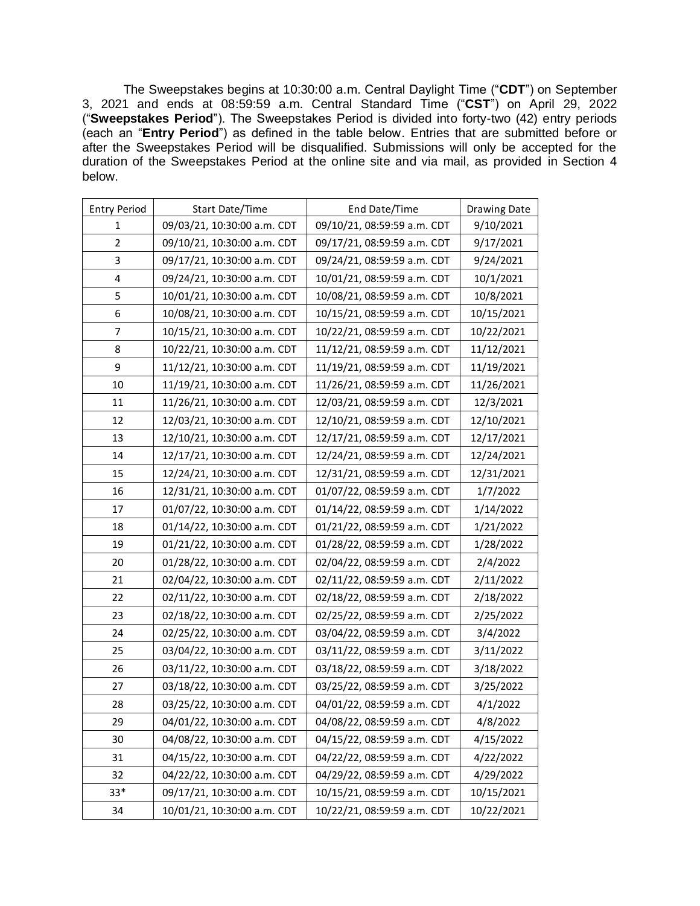The Sweepstakes begins at 10:30:00 a.m. Central Daylight Time ("**CDT**") on September 3, 2021 and ends at 08:59:59 a.m. Central Standard Time ("**CST**") on April 29, 2022 ("**Sweepstakes Period**"). The Sweepstakes Period is divided into forty-two (42) entry periods (each an "**Entry Period**") as defined in the table below. Entries that are submitted before or after the Sweepstakes Period will be disqualified. Submissions will only be accepted for the duration of the Sweepstakes Period at the online site and via mail, as provided in Section 4 below.

| <b>Entry Period</b> | Start Date/Time             | End Date/Time               | <b>Drawing Date</b> |
|---------------------|-----------------------------|-----------------------------|---------------------|
| 1                   | 09/03/21, 10:30:00 a.m. CDT | 09/10/21, 08:59:59 a.m. CDT | 9/10/2021           |
| 2                   | 09/10/21, 10:30:00 a.m. CDT | 09/17/21, 08:59:59 a.m. CDT | 9/17/2021           |
| 3                   | 09/17/21, 10:30:00 a.m. CDT | 09/24/21, 08:59:59 a.m. CDT | 9/24/2021           |
| 4                   | 09/24/21, 10:30:00 a.m. CDT | 10/01/21, 08:59:59 a.m. CDT | 10/1/2021           |
| 5                   | 10/01/21, 10:30:00 a.m. CDT | 10/08/21, 08:59:59 a.m. CDT | 10/8/2021           |
| 6                   | 10/08/21, 10:30:00 a.m. CDT | 10/15/21, 08:59:59 a.m. CDT | 10/15/2021          |
| 7                   | 10/15/21, 10:30:00 a.m. CDT | 10/22/21, 08:59:59 a.m. CDT | 10/22/2021          |
| 8                   | 10/22/21, 10:30:00 a.m. CDT | 11/12/21, 08:59:59 a.m. CDT | 11/12/2021          |
| 9                   | 11/12/21, 10:30:00 a.m. CDT | 11/19/21, 08:59:59 a.m. CDT | 11/19/2021          |
| 10                  | 11/19/21, 10:30:00 a.m. CDT | 11/26/21, 08:59:59 a.m. CDT | 11/26/2021          |
| 11                  | 11/26/21, 10:30:00 a.m. CDT | 12/03/21, 08:59:59 a.m. CDT | 12/3/2021           |
| 12                  | 12/03/21, 10:30:00 a.m. CDT | 12/10/21, 08:59:59 a.m. CDT | 12/10/2021          |
| 13                  | 12/10/21, 10:30:00 a.m. CDT | 12/17/21, 08:59:59 a.m. CDT | 12/17/2021          |
| 14                  | 12/17/21, 10:30:00 a.m. CDT | 12/24/21, 08:59:59 a.m. CDT | 12/24/2021          |
| 15                  | 12/24/21, 10:30:00 a.m. CDT | 12/31/21, 08:59:59 a.m. CDT | 12/31/2021          |
| 16                  | 12/31/21, 10:30:00 a.m. CDT | 01/07/22, 08:59:59 a.m. CDT | 1/7/2022            |
| 17                  | 01/07/22, 10:30:00 a.m. CDT | 01/14/22, 08:59:59 a.m. CDT | 1/14/2022           |
| 18                  | 01/14/22, 10:30:00 a.m. CDT | 01/21/22, 08:59:59 a.m. CDT | 1/21/2022           |
| 19                  | 01/21/22, 10:30:00 a.m. CDT | 01/28/22, 08:59:59 a.m. CDT | 1/28/2022           |
| 20                  | 01/28/22, 10:30:00 a.m. CDT | 02/04/22, 08:59:59 a.m. CDT | 2/4/2022            |
| 21                  | 02/04/22, 10:30:00 a.m. CDT | 02/11/22, 08:59:59 a.m. CDT | 2/11/2022           |
| 22                  | 02/11/22, 10:30:00 a.m. CDT | 02/18/22, 08:59:59 a.m. CDT | 2/18/2022           |
| 23                  | 02/18/22, 10:30:00 a.m. CDT | 02/25/22, 08:59:59 a.m. CDT | 2/25/2022           |
| 24                  | 02/25/22, 10:30:00 a.m. CDT | 03/04/22, 08:59:59 a.m. CDT | 3/4/2022            |
| 25                  | 03/04/22, 10:30:00 a.m. CDT | 03/11/22, 08:59:59 a.m. CDT | 3/11/2022           |
| 26                  | 03/11/22, 10:30:00 a.m. CDT | 03/18/22, 08:59:59 a.m. CDT | 3/18/2022           |
| 27                  | 03/18/22, 10:30:00 a.m. CDT | 03/25/22, 08:59:59 a.m. CDT | 3/25/2022           |
| 28                  | 03/25/22, 10:30:00 a.m. CDT | 04/01/22, 08:59:59 a.m. CDT | 4/1/2022            |
| 29                  | 04/01/22, 10:30:00 a.m. CDT | 04/08/22, 08:59:59 a.m. CDT | 4/8/2022            |
| 30                  | 04/08/22, 10:30:00 a.m. CDT | 04/15/22, 08:59:59 a.m. CDT | 4/15/2022           |
| 31                  | 04/15/22, 10:30:00 a.m. CDT | 04/22/22, 08:59:59 a.m. CDT | 4/22/2022           |
| 32                  | 04/22/22, 10:30:00 a.m. CDT | 04/29/22, 08:59:59 a.m. CDT | 4/29/2022           |
| $33*$               | 09/17/21, 10:30:00 a.m. CDT | 10/15/21, 08:59:59 a.m. CDT | 10/15/2021          |
| 34                  | 10/01/21, 10:30:00 a.m. CDT | 10/22/21, 08:59:59 a.m. CDT | 10/22/2021          |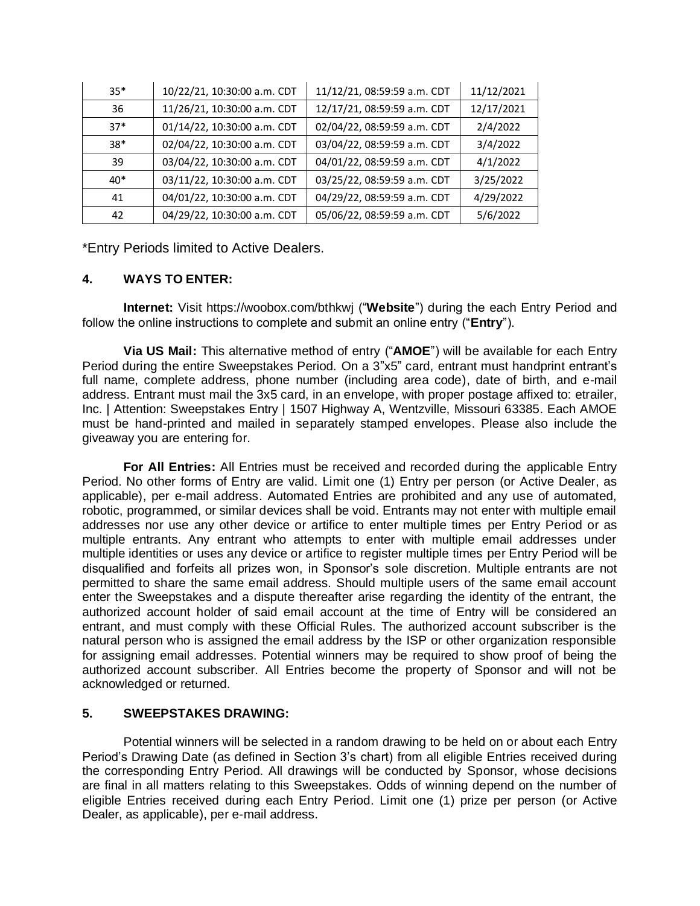| $35*$ | 10/22/21, 10:30:00 a.m. CDT | 11/12/21, 08:59:59 a.m. CDT | 11/12/2021 |
|-------|-----------------------------|-----------------------------|------------|
| 36    | 11/26/21, 10:30:00 a.m. CDT | 12/17/21, 08:59:59 a.m. CDT | 12/17/2021 |
| $37*$ | 01/14/22, 10:30:00 a.m. CDT | 02/04/22, 08:59:59 a.m. CDT | 2/4/2022   |
| $38*$ | 02/04/22, 10:30:00 a.m. CDT | 03/04/22, 08:59:59 a.m. CDT | 3/4/2022   |
| 39    | 03/04/22, 10:30:00 a.m. CDT | 04/01/22, 08:59:59 a.m. CDT | 4/1/2022   |
| $40*$ | 03/11/22, 10:30:00 a.m. CDT | 03/25/22, 08:59:59 a.m. CDT | 3/25/2022  |
| 41    | 04/01/22, 10:30:00 a.m. CDT | 04/29/22, 08:59:59 a.m. CDT | 4/29/2022  |
| 42    | 04/29/22, 10:30:00 a.m. CDT | 05/06/22, 08:59:59 a.m. CDT | 5/6/2022   |

\*Entry Periods limited to Active Dealers.

# **4. WAYS TO ENTER:**

**Internet:** Visit https://woobox.com/bthkwj ("**Website**") during the each Entry Period and follow the online instructions to complete and submit an online entry ("**Entry**").

**Via US Mail:** This alternative method of entry ("**AMOE**") will be available for each Entry Period during the entire Sweepstakes Period. On a 3"x5" card, entrant must handprint entrant's full name, complete address, phone number (including area code), date of birth, and e-mail address. Entrant must mail the 3x5 card, in an envelope, with proper postage affixed to: etrailer, Inc. | Attention: Sweepstakes Entry | 1507 Highway A, Wentzville, Missouri 63385. Each AMOE must be hand-printed and mailed in separately stamped envelopes. Please also include the giveaway you are entering for.

**For All Entries:** All Entries must be received and recorded during the applicable Entry Period. No other forms of Entry are valid. Limit one (1) Entry per person (or Active Dealer, as applicable), per e-mail address. Automated Entries are prohibited and any use of automated, robotic, programmed, or similar devices shall be void. Entrants may not enter with multiple email addresses nor use any other device or artifice to enter multiple times per Entry Period or as multiple entrants. Any entrant who attempts to enter with multiple email addresses under multiple identities or uses any device or artifice to register multiple times per Entry Period will be disqualified and forfeits all prizes won, in Sponsor's sole discretion. Multiple entrants are not permitted to share the same email address. Should multiple users of the same email account enter the Sweepstakes and a dispute thereafter arise regarding the identity of the entrant, the authorized account holder of said email account at the time of Entry will be considered an entrant, and must comply with these Official Rules. The authorized account subscriber is the natural person who is assigned the email address by the ISP or other organization responsible for assigning email addresses. Potential winners may be required to show proof of being the authorized account subscriber. All Entries become the property of Sponsor and will not be acknowledged or returned.

## **5. SWEEPSTAKES DRAWING:**

Potential winners will be selected in a random drawing to be held on or about each Entry Period's Drawing Date (as defined in Section 3's chart) from all eligible Entries received during the corresponding Entry Period. All drawings will be conducted by Sponsor, whose decisions are final in all matters relating to this Sweepstakes. Odds of winning depend on the number of eligible Entries received during each Entry Period. Limit one (1) prize per person (or Active Dealer, as applicable), per e-mail address.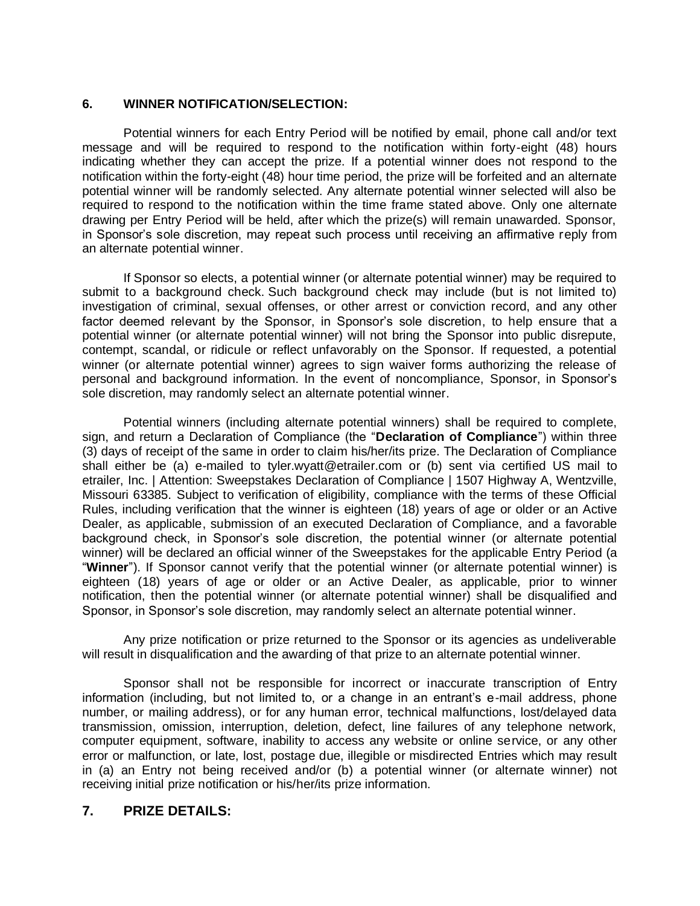## **6. WINNER NOTIFICATION/SELECTION:**

Potential winners for each Entry Period will be notified by email, phone call and/or text message and will be required to respond to the notification within forty-eight (48) hours indicating whether they can accept the prize. If a potential winner does not respond to the notification within the forty-eight (48) hour time period, the prize will be forfeited and an alternate potential winner will be randomly selected. Any alternate potential winner selected will also be required to respond to the notification within the time frame stated above. Only one alternate drawing per Entry Period will be held, after which the prize(s) will remain unawarded. Sponsor, in Sponsor's sole discretion, may repeat such process until receiving an affirmative reply from an alternate potential winner.

If Sponsor so elects, a potential winner (or alternate potential winner) may be required to submit to a background check. Such background check may include (but is not limited to) investigation of criminal, sexual offenses, or other arrest or conviction record, and any other factor deemed relevant by the Sponsor, in Sponsor's sole discretion, to help ensure that a potential winner (or alternate potential winner) will not bring the Sponsor into public disrepute, contempt, scandal, or ridicule or reflect unfavorably on the Sponsor. If requested, a potential winner (or alternate potential winner) agrees to sign waiver forms authorizing the release of personal and background information. In the event of noncompliance, Sponsor, in Sponsor's sole discretion, may randomly select an alternate potential winner.

Potential winners (including alternate potential winners) shall be required to complete, sign, and return a Declaration of Compliance (the "**Declaration of Compliance**") within three (3) days of receipt of the same in order to claim his/her/its prize. The Declaration of Compliance shall either be (a) e-mailed to tyler.wyatt@etrailer.com or (b) sent via certified US mail to etrailer, Inc. | Attention: Sweepstakes Declaration of Compliance | 1507 Highway A, Wentzville, Missouri 63385. Subject to verification of eligibility, compliance with the terms of these Official Rules, including verification that the winner is eighteen (18) years of age or older or an Active Dealer, as applicable, submission of an executed Declaration of Compliance, and a favorable background check, in Sponsor's sole discretion, the potential winner (or alternate potential winner) will be declared an official winner of the Sweepstakes for the applicable Entry Period (a "**Winner**"). If Sponsor cannot verify that the potential winner (or alternate potential winner) is eighteen (18) years of age or older or an Active Dealer, as applicable, prior to winner notification, then the potential winner (or alternate potential winner) shall be disqualified and Sponsor, in Sponsor's sole discretion, may randomly select an alternate potential winner.

Any prize notification or prize returned to the Sponsor or its agencies as undeliverable will result in disqualification and the awarding of that prize to an alternate potential winner.

Sponsor shall not be responsible for incorrect or inaccurate transcription of Entry information (including, but not limited to, or a change in an entrant's e-mail address, phone number, or mailing address), or for any human error, technical malfunctions, lost/delayed data transmission, omission, interruption, deletion, defect, line failures of any telephone network, computer equipment, software, inability to access any website or online service, or any other error or malfunction, or late, lost, postage due, illegible or misdirected Entries which may result in (a) an Entry not being received and/or (b) a potential winner (or alternate winner) not receiving initial prize notification or his/her/its prize information.

# **7. PRIZE DETAILS:**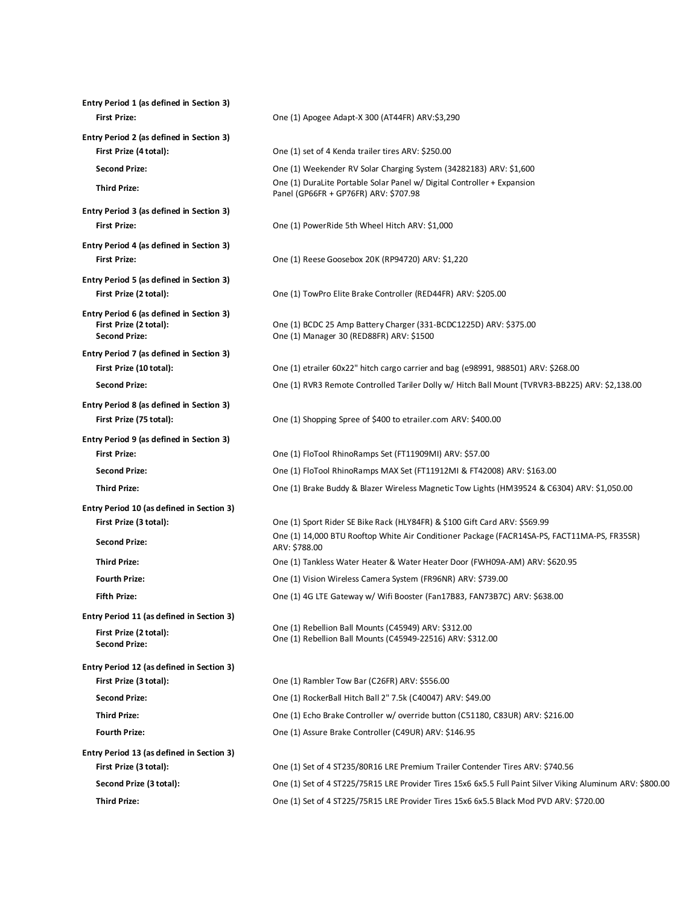| Entry Period 1 (as defined in Section 3)                                                   |                                                                                                                    |
|--------------------------------------------------------------------------------------------|--------------------------------------------------------------------------------------------------------------------|
| <b>First Prize:</b>                                                                        | One (1) Apogee Adapt-X 300 (AT44FR) ARV:\$3,290                                                                    |
| Entry Period 2 (as defined in Section 3)                                                   |                                                                                                                    |
| First Prize (4 total):                                                                     | One (1) set of 4 Kenda trailer tires ARV: \$250.00                                                                 |
| <b>Second Prize:</b>                                                                       | One (1) Weekender RV Solar Charging System (34282183) ARV: \$1,600                                                 |
| <b>Third Prize:</b>                                                                        | One (1) DuraLite Portable Solar Panel w/ Digital Controller + Expansion<br>Panel (GP66FR + GP76FR) ARV: \$707.98   |
| Entry Period 3 (as defined in Section 3)                                                   |                                                                                                                    |
| <b>First Prize:</b>                                                                        | One (1) PowerRide 5th Wheel Hitch ARV: \$1,000                                                                     |
| Entry Period 4 (as defined in Section 3)                                                   |                                                                                                                    |
| <b>First Prize:</b>                                                                        | One (1) Reese Goosebox 20K (RP94720) ARV: \$1,220                                                                  |
| Entry Period 5 (as defined in Section 3)                                                   |                                                                                                                    |
| First Prize (2 total):                                                                     | One (1) TowPro Elite Brake Controller (RED44FR) ARV: \$205.00                                                      |
| Entry Period 6 (as defined in Section 3)<br>First Prize (2 total):<br><b>Second Prize:</b> | One (1) BCDC 25 Amp Battery Charger (331-BCDC1225D) ARV: \$375.00<br>One (1) Manager 30 (RED88FR) ARV: \$1500      |
| Entry Period 7 (as defined in Section 3)                                                   |                                                                                                                    |
| First Prize (10 total):                                                                    | One (1) etrailer 60x22" hitch cargo carrier and bag (e98991, 988501) ARV: \$268.00                                 |
| <b>Second Prize:</b>                                                                       | One (1) RVR3 Remote Controlled Tariler Dolly w/ Hitch Ball Mount (TVRVR3-BB225) ARV: \$2,138.00                    |
| Entry Period 8 (as defined in Section 3)                                                   |                                                                                                                    |
| First Prize (75 total):                                                                    | One (1) Shopping Spree of \$400 to etrailer.com ARV: \$400.00                                                      |
| Entry Period 9 (as defined in Section 3)                                                   |                                                                                                                    |
| <b>First Prize:</b>                                                                        | One (1) FloTool RhinoRamps Set (FT11909MI) ARV: \$57.00                                                            |
| <b>Second Prize:</b>                                                                       | One (1) FloTool RhinoRamps MAX Set (FT11912MI & FT42008) ARV: \$163.00                                             |
| <b>Third Prize:</b>                                                                        | One (1) Brake Buddy & Blazer Wireless Magnetic Tow Lights (HM39524 & C6304) ARV: \$1,050.00                        |
| Entry Period 10 (as defined in Section 3)                                                  |                                                                                                                    |
| First Prize (3 total):                                                                     | One (1) Sport Rider SE Bike Rack (HLY84FR) & \$100 Gift Card ARV: \$569.99                                         |
| <b>Second Prize:</b>                                                                       | One (1) 14,000 BTU Rooftop White Air Conditioner Package (FACR14SA-PS, FACT11MA-PS, FR35SR)<br>ARV: \$788.00       |
| <b>Third Prize:</b>                                                                        | One (1) Tankless Water Heater & Water Heater Door (FWH09A-AM) ARV: \$620.95                                        |
| <b>Fourth Prize:</b>                                                                       | One (1) Vision Wireless Camera System (FR96NR) ARV: \$739.00                                                       |
| <b>Fifth Prize:</b>                                                                        | One (1) 4G LTE Gateway w/ Wifi Booster (Fan17B83, FAN73B7C) ARV: \$638.00                                          |
| Entry Period 11 (as defined in Section 3)                                                  |                                                                                                                    |
| First Prize (2 total):<br><b>Second Prize:</b>                                             | One (1) Rebellion Ball Mounts (C45949) ARV: \$312.00<br>One (1) Rebellion Ball Mounts (C45949-22516) ARV: \$312.00 |
| Entry Period 12 (as defined in Section 3)                                                  |                                                                                                                    |
| First Prize (3 total):                                                                     | One (1) Rambler Tow Bar (C26FR) ARV: \$556.00                                                                      |
| <b>Second Prize:</b>                                                                       | One (1) RockerBall Hitch Ball 2" 7.5k (C40047) ARV: \$49.00                                                        |
| <b>Third Prize:</b>                                                                        | One (1) Echo Brake Controller w/ override button (C51180, C83UR) ARV: \$216.00                                     |
| <b>Fourth Prize:</b>                                                                       | One (1) Assure Brake Controller (C49UR) ARV: \$146.95                                                              |
| Entry Period 13 (as defined in Section 3)                                                  |                                                                                                                    |
| First Prize (3 total):                                                                     | One (1) Set of 4 ST235/80R16 LRE Premium Trailer Contender Tires ARV: \$740.56                                     |
| Second Prize (3 total):                                                                    | One (1) Set of 4 ST225/75R15 LRE Provider Tires 15x6 6x5.5 Full Paint Silver Viking Aluminum ARV: \$800.00         |
| <b>Third Prize:</b>                                                                        | One (1) Set of 4 ST225/75R15 LRE Provider Tires 15x6 6x5.5 Black Mod PVD ARV: \$720.00                             |
|                                                                                            |                                                                                                                    |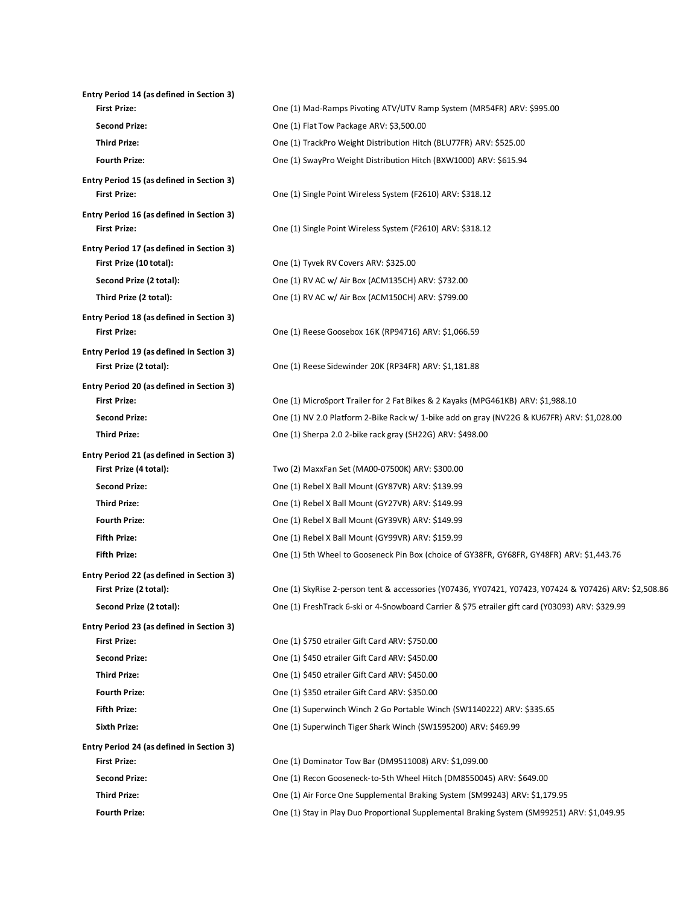| Entry Period 14 (as defined in Section 3)                        |                                                                                                        |
|------------------------------------------------------------------|--------------------------------------------------------------------------------------------------------|
| <b>First Prize:</b>                                              | One (1) Mad-Ramps Pivoting ATV/UTV Ramp System (MR54FR) ARV: \$995.00                                  |
| <b>Second Prize:</b>                                             | One (1) Flat Tow Package ARV: \$3,500.00                                                               |
| <b>Third Prize:</b>                                              | One (1) TrackPro Weight Distribution Hitch (BLU77FR) ARV: \$525.00                                     |
| <b>Fourth Prize:</b>                                             | One (1) SwayPro Weight Distribution Hitch (BXW1000) ARV: \$615.94                                      |
| Entry Period 15 (as defined in Section 3)                        |                                                                                                        |
| <b>First Prize:</b>                                              | One (1) Single Point Wireless System (F2610) ARV: \$318.12                                             |
| Entry Period 16 (as defined in Section 3)<br><b>First Prize:</b> | One (1) Single Point Wireless System (F2610) ARV: \$318.12                                             |
| Entry Period 17 (as defined in Section 3)                        |                                                                                                        |
| First Prize (10 total):                                          | One (1) Tyvek RV Covers ARV: \$325.00                                                                  |
| Second Prize (2 total):                                          | One (1) RV AC w/ Air Box (ACM135CH) ARV: \$732.00                                                      |
| Third Prize (2 total):                                           | One (1) RV AC w/ Air Box (ACM150CH) ARV: \$799.00                                                      |
| Entry Period 18 (as defined in Section 3)                        |                                                                                                        |
| <b>First Prize:</b>                                              | One (1) Reese Goosebox 16K (RP94716) ARV: \$1,066.59                                                   |
| Entry Period 19 (as defined in Section 3)                        |                                                                                                        |
| First Prize (2 total):                                           | One (1) Reese Sidewinder 20K (RP34FR) ARV: \$1,181.88                                                  |
| Entry Period 20 (as defined in Section 3)                        |                                                                                                        |
| <b>First Prize:</b>                                              | One (1) MicroSport Trailer for 2 Fat Bikes & 2 Kayaks (MPG461KB) ARV: \$1,988.10                       |
| <b>Second Prize:</b>                                             | One (1) NV 2.0 Platform 2-Bike Rack w/ 1-bike add on gray (NV22G & KU67FR) ARV: \$1,028.00             |
| <b>Third Prize:</b>                                              | One (1) Sherpa 2.0 2-bike rack gray (SH22G) ARV: \$498.00                                              |
| Entry Period 21 (as defined in Section 3)                        |                                                                                                        |
| First Prize (4 total):                                           | Two (2) MaxxFan Set (MA00-07500K) ARV: \$300.00                                                        |
| <b>Second Prize:</b>                                             | One (1) Rebel X Ball Mount (GY87VR) ARV: \$139.99                                                      |
| <b>Third Prize:</b>                                              | One (1) Rebel X Ball Mount (GY27VR) ARV: \$149.99                                                      |
| <b>Fourth Prize:</b>                                             | One (1) Rebel X Ball Mount (GY39VR) ARV: \$149.99                                                      |
| <b>Fifth Prize:</b>                                              | One (1) Rebel X Ball Mount (GY99VR) ARV: \$159.99                                                      |
| <b>Fifth Prize:</b>                                              | One (1) 5th Wheel to Gooseneck Pin Box (choice of GY38FR, GY68FR, GY48FR) ARV: \$1,443.76              |
| Entry Period 22 (as defined in Section 3)                        |                                                                                                        |
| First Prize (2 total):                                           | One (1) SkyRise 2-person tent & accessories (Y07436, YY07421, Y07423, Y07424 & Y07426) ARV: \$2,508.86 |
| Second Prize (2 total):                                          | One (1) FreshTrack 6-ski or 4-Snowboard Carrier & \$75 etrailer gift card (Y03093) ARV: \$329.99       |
| Entry Period 23 (as defined in Section 3)                        |                                                                                                        |
| <b>First Prize:</b>                                              | One (1) \$750 etrailer Gift Card ARV: \$750.00                                                         |
| <b>Second Prize:</b>                                             | One (1) \$450 etrailer Gift Card ARV: \$450.00                                                         |
| <b>Third Prize:</b>                                              | One (1) \$450 etrailer Gift Card ARV: \$450.00                                                         |
| <b>Fourth Prize:</b>                                             | One (1) \$350 etrailer Gift Card ARV: \$350.00                                                         |
| <b>Fifth Prize:</b>                                              | One (1) Superwinch Winch 2 Go Portable Winch (SW1140222) ARV: \$335.65                                 |
| <b>Sixth Prize:</b>                                              | One (1) Superwinch Tiger Shark Winch (SW1595200) ARV: \$469.99                                         |
| Entry Period 24 (as defined in Section 3)                        |                                                                                                        |
| <b>First Prize:</b>                                              | One (1) Dominator Tow Bar (DM9511008) ARV: \$1,099.00                                                  |
| <b>Second Prize:</b>                                             | One (1) Recon Gooseneck-to-5th Wheel Hitch (DM8550045) ARV: \$649.00                                   |
| <b>Third Prize:</b>                                              | One (1) Air Force One Supplemental Braking System (SM99243) ARV: \$1,179.95                            |
| <b>Fourth Prize:</b>                                             | One (1) Stay in Play Duo Proportional Supplemental Braking System (SM99251) ARV: \$1,049.95            |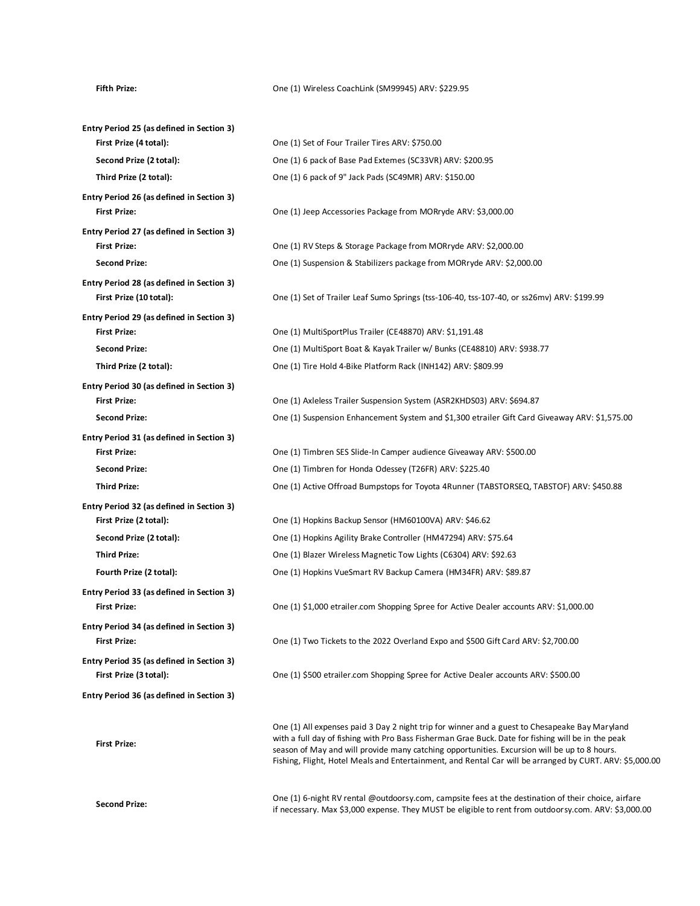### Fifth Prize: COACHLINK (SM99945) ARV: \$229.95

| Entry Period 25 (as defined in Section 3) |                                                                                                                                                                                                                                                                                                                                                                                                                  |
|-------------------------------------------|------------------------------------------------------------------------------------------------------------------------------------------------------------------------------------------------------------------------------------------------------------------------------------------------------------------------------------------------------------------------------------------------------------------|
| First Prize (4 total):                    | One (1) Set of Four Trailer Tires ARV: \$750.00                                                                                                                                                                                                                                                                                                                                                                  |
| Second Prize (2 total):                   | One (1) 6 pack of Base Pad Extemes (SC33VR) ARV: \$200.95                                                                                                                                                                                                                                                                                                                                                        |
| Third Prize (2 total):                    | One (1) 6 pack of 9" Jack Pads (SC49MR) ARV: \$150.00                                                                                                                                                                                                                                                                                                                                                            |
| Entry Period 26 (as defined in Section 3) |                                                                                                                                                                                                                                                                                                                                                                                                                  |
| <b>First Prize:</b>                       | One (1) Jeep Accessories Package from MORryde ARV: \$3,000.00                                                                                                                                                                                                                                                                                                                                                    |
| Entry Period 27 (as defined in Section 3) |                                                                                                                                                                                                                                                                                                                                                                                                                  |
| <b>First Prize:</b>                       | One (1) RV Steps & Storage Package from MORryde ARV: \$2,000.00                                                                                                                                                                                                                                                                                                                                                  |
| <b>Second Prize:</b>                      | One (1) Suspension & Stabilizers package from MORryde ARV: \$2,000.00                                                                                                                                                                                                                                                                                                                                            |
| Entry Period 28 (as defined in Section 3) |                                                                                                                                                                                                                                                                                                                                                                                                                  |
| First Prize (10 total):                   | One (1) Set of Trailer Leaf Sumo Springs (tss-106-40, tss-107-40, or ss26mv) ARV: \$199.99                                                                                                                                                                                                                                                                                                                       |
| Entry Period 29 (as defined in Section 3) |                                                                                                                                                                                                                                                                                                                                                                                                                  |
| <b>First Prize:</b>                       | One (1) MultiSportPlus Trailer (CE48870) ARV: \$1,191.48                                                                                                                                                                                                                                                                                                                                                         |
| <b>Second Prize:</b>                      | One (1) MultiSport Boat & Kayak Trailer w/ Bunks (CE48810) ARV: \$938.77                                                                                                                                                                                                                                                                                                                                         |
| Third Prize (2 total):                    | One (1) Tire Hold 4-Bike Platform Rack (INH142) ARV: \$809.99                                                                                                                                                                                                                                                                                                                                                    |
| Entry Period 30 (as defined in Section 3) |                                                                                                                                                                                                                                                                                                                                                                                                                  |
| <b>First Prize:</b>                       | One (1) Axleless Trailer Suspension System (ASR2KHDS03) ARV: \$694.87                                                                                                                                                                                                                                                                                                                                            |
| <b>Second Prize:</b>                      | One (1) Suspension Enhancement System and \$1,300 etrailer Gift Card Giveaway ARV: \$1,575.00                                                                                                                                                                                                                                                                                                                    |
| Entry Period 31 (as defined in Section 3) |                                                                                                                                                                                                                                                                                                                                                                                                                  |
| <b>First Prize:</b>                       | One (1) Timbren SES Slide-In Camper audience Giveaway ARV: \$500.00                                                                                                                                                                                                                                                                                                                                              |
| <b>Second Prize:</b>                      | One (1) Timbren for Honda Odessey (T26FR) ARV: \$225.40                                                                                                                                                                                                                                                                                                                                                          |
| <b>Third Prize:</b>                       | One (1) Active Offroad Bumpstops for Toyota 4Runner (TABSTORSEQ, TABSTOF) ARV: \$450.88                                                                                                                                                                                                                                                                                                                          |
| Entry Period 32 (as defined in Section 3) |                                                                                                                                                                                                                                                                                                                                                                                                                  |
| First Prize (2 total):                    | One (1) Hopkins Backup Sensor (HM60100VA) ARV: \$46.62                                                                                                                                                                                                                                                                                                                                                           |
| Second Prize (2 total):                   | One (1) Hopkins Agility Brake Controller (HM47294) ARV: \$75.64                                                                                                                                                                                                                                                                                                                                                  |
| <b>Third Prize:</b>                       | One (1) Blazer Wireless Magnetic Tow Lights (C6304) ARV: \$92.63                                                                                                                                                                                                                                                                                                                                                 |
| Fourth Prize (2 total):                   | One (1) Hopkins VueSmart RV Backup Camera (HM34FR) ARV: \$89.87                                                                                                                                                                                                                                                                                                                                                  |
| Entry Period 33 (as defined in Section 3) |                                                                                                                                                                                                                                                                                                                                                                                                                  |
| <b>First Prize:</b>                       | One (1) \$1,000 etrailer.com Shopping Spree for Active Dealer accounts ARV: \$1,000.00                                                                                                                                                                                                                                                                                                                           |
| Entry Period 34 (as defined in Section 3) |                                                                                                                                                                                                                                                                                                                                                                                                                  |
| <b>First Prize:</b>                       | One (1) Two Tickets to the 2022 Overland Expo and \$500 Gift Card ARV: \$2,700.00                                                                                                                                                                                                                                                                                                                                |
| Entry Period 35 (as defined in Section 3) |                                                                                                                                                                                                                                                                                                                                                                                                                  |
| First Prize (3 total):                    | One (1) \$500 etrailer.com Shopping Spree for Active Dealer accounts ARV: \$500.00                                                                                                                                                                                                                                                                                                                               |
| Entry Period 36 (as defined in Section 3) |                                                                                                                                                                                                                                                                                                                                                                                                                  |
| <b>First Prize:</b>                       | One (1) All expenses paid 3 Day 2 night trip for winner and a guest to Chesapeake Bay Maryland<br>with a full day of fishing with Pro Bass Fisherman Grae Buck. Date for fishing will be in the peak<br>season of May and will provide many catching opportunities. Excursion will be up to 8 hours.<br>Fishing, Flight, Hotel Meals and Entertainment, and Rental Car will be arranged by CURT. ARV: \$5,000.00 |
| <b>Second Prize:</b>                      | One (1) 6-night RV rental @outdoorsy.com, campsite fees at the destination of their choice, airfare                                                                                                                                                                                                                                                                                                              |

if necessary. Max \$3,000 expense. They MUST be eligible to rent from outdoorsy.com. ARV: \$3,000.00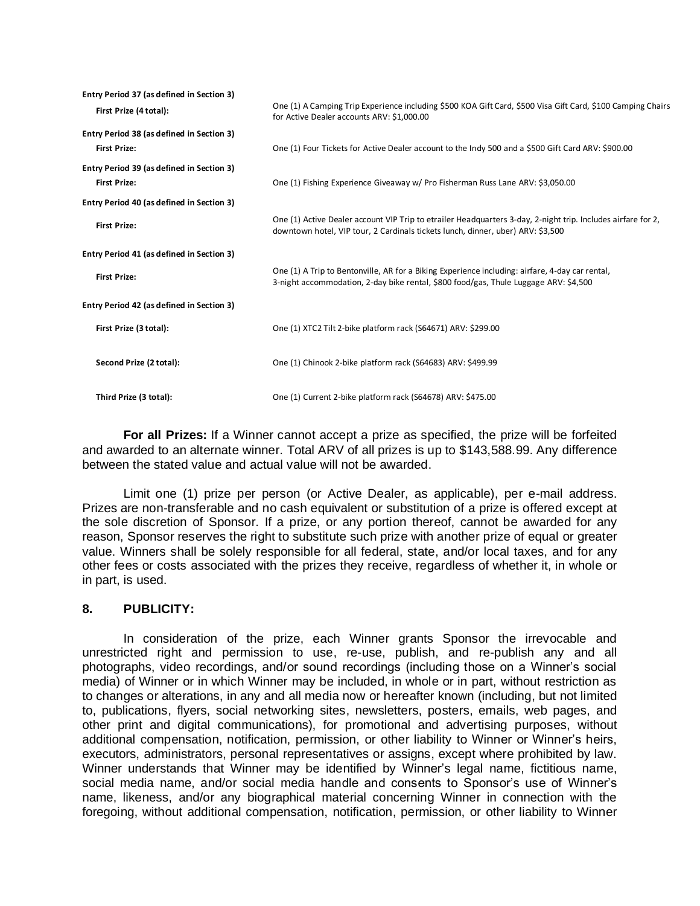| Entry Period 37 (as defined in Section 3) |                                                                                                                                                                                                 |
|-------------------------------------------|-------------------------------------------------------------------------------------------------------------------------------------------------------------------------------------------------|
| First Prize (4 total):                    | One (1) A Camping Trip Experience including \$500 KOA Gift Card, \$500 Visa Gift Card, \$100 Camping Chairs<br>for Active Dealer accounts ARV: \$1,000.00                                       |
| Entry Period 38 (as defined in Section 3) |                                                                                                                                                                                                 |
| <b>First Prize:</b>                       | One (1) Four Tickets for Active Dealer account to the Indy 500 and a \$500 Gift Card ARV: \$900.00                                                                                              |
| Entry Period 39 (as defined in Section 3) |                                                                                                                                                                                                 |
| <b>First Prize:</b>                       | One (1) Fishing Experience Giveaway w/ Pro Fisherman Russ Lane ARV: \$3,050.00                                                                                                                  |
| Entry Period 40 (as defined in Section 3) |                                                                                                                                                                                                 |
| <b>First Prize:</b>                       | One (1) Active Dealer account VIP Trip to etrailer Headquarters 3-day, 2-night trip. Includes airfare for 2,<br>downtown hotel, VIP tour, 2 Cardinals tickets lunch, dinner, uber) ARV: \$3,500 |
| Entry Period 41 (as defined in Section 3) |                                                                                                                                                                                                 |
| <b>First Prize:</b>                       | One (1) A Trip to Bentonville, AR for a Biking Experience including: airfare, 4-day car rental,<br>3-night accommodation, 2-day bike rental, \$800 food/gas, Thule Luggage ARV: \$4,500         |
| Entry Period 42 (as defined in Section 3) |                                                                                                                                                                                                 |
| First Prize (3 total):                    | One (1) XTC2 Tilt 2-bike platform rack (S64671) ARV: \$299.00                                                                                                                                   |
| Second Prize (2 total):                   | One (1) Chinook 2-bike platform rack (S64683) ARV: \$499.99                                                                                                                                     |
| Third Prize (3 total):                    | One (1) Current 2-bike platform rack (S64678) ARV: \$475.00                                                                                                                                     |

**For all Prizes:** If a Winner cannot accept a prize as specified, the prize will be forfeited and awarded to an alternate winner. Total ARV of all prizes is up to \$143,588.99. Any difference between the stated value and actual value will not be awarded.

Limit one (1) prize per person (or Active Dealer, as applicable), per e-mail address. Prizes are non-transferable and no cash equivalent or substitution of a prize is offered except at the sole discretion of Sponsor. If a prize, or any portion thereof, cannot be awarded for any reason, Sponsor reserves the right to substitute such prize with another prize of equal or greater value. Winners shall be solely responsible for all federal, state, and/or local taxes, and for any other fees or costs associated with the prizes they receive, regardless of whether it, in whole or in part, is used.

## **8. PUBLICITY:**

In consideration of the prize, each Winner grants Sponsor the irrevocable and unrestricted right and permission to use, re-use, publish, and re-publish any and all photographs, video recordings, and/or sound recordings (including those on a Winner's social media) of Winner or in which Winner may be included, in whole or in part, without restriction as to changes or alterations, in any and all media now or hereafter known (including, but not limited to, publications, flyers, social networking sites, newsletters, posters, emails, web pages, and other print and digital communications), for promotional and advertising purposes, without additional compensation, notification, permission, or other liability to Winner or Winner's heirs, executors, administrators, personal representatives or assigns, except where prohibited by law. Winner understands that Winner may be identified by Winner's legal name, fictitious name, social media name, and/or social media handle and consents to Sponsor's use of Winner's name, likeness, and/or any biographical material concerning Winner in connection with the foregoing, without additional compensation, notification, permission, or other liability to Winner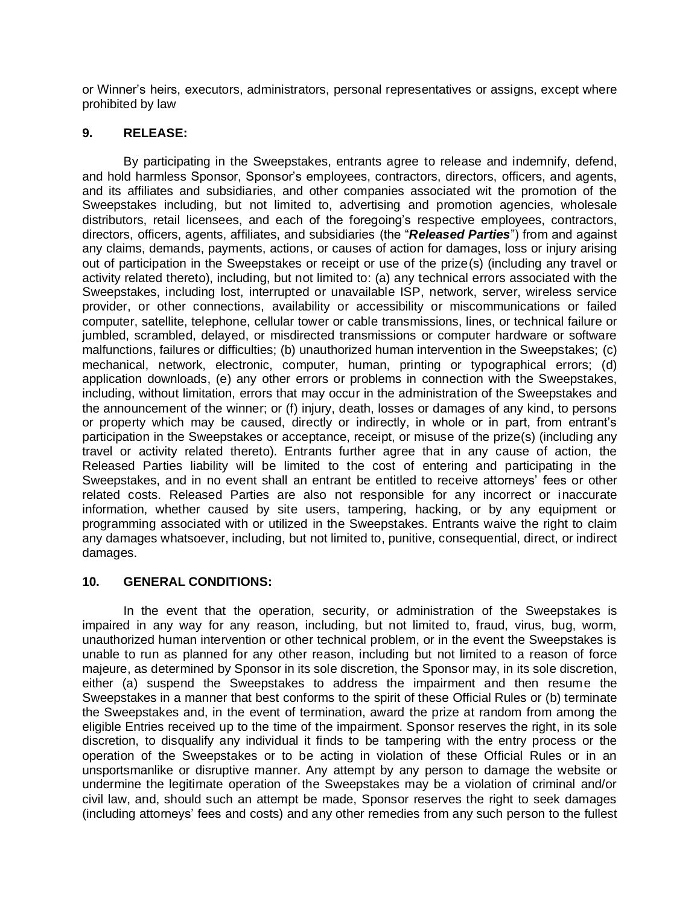or Winner's heirs, executors, administrators, personal representatives or assigns, except where prohibited by law

# **9. RELEASE:**

By participating in the Sweepstakes, entrants agree to release and indemnify, defend, and hold harmless Sponsor, Sponsor's employees, contractors, directors, officers, and agents, and its affiliates and subsidiaries, and other companies associated wit the promotion of the Sweepstakes including, but not limited to, advertising and promotion agencies, wholesale distributors, retail licensees, and each of the foregoing's respective employees, contractors, directors, officers, agents, affiliates, and subsidiaries (the "*Released Parties*") from and against any claims, demands, payments, actions, or causes of action for damages, loss or injury arising out of participation in the Sweepstakes or receipt or use of the prize(s) (including any travel or activity related thereto), including, but not limited to: (a) any technical errors associated with the Sweepstakes, including lost, interrupted or unavailable ISP, network, server, wireless service provider, or other connections, availability or accessibility or miscommunications or failed computer, satellite, telephone, cellular tower or cable transmissions, lines, or technical failure or jumbled, scrambled, delayed, or misdirected transmissions or computer hardware or software malfunctions, failures or difficulties; (b) unauthorized human intervention in the Sweepstakes; (c) mechanical, network, electronic, computer, human, printing or typographical errors; (d) application downloads, (e) any other errors or problems in connection with the Sweepstakes, including, without limitation, errors that may occur in the administration of the Sweepstakes and the announcement of the winner; or (f) injury, death, losses or damages of any kind, to persons or property which may be caused, directly or indirectly, in whole or in part, from entrant's participation in the Sweepstakes or acceptance, receipt, or misuse of the prize(s) (including any travel or activity related thereto). Entrants further agree that in any cause of action, the Released Parties liability will be limited to the cost of entering and participating in the Sweepstakes, and in no event shall an entrant be entitled to receive attorneys' fees or other related costs. Released Parties are also not responsible for any incorrect or inaccurate information, whether caused by site users, tampering, hacking, or by any equipment or programming associated with or utilized in the Sweepstakes. Entrants waive the right to claim any damages whatsoever, including, but not limited to, punitive, consequential, direct, or indirect damages.

# **10. GENERAL CONDITIONS:**

In the event that the operation, security, or administration of the Sweepstakes is impaired in any way for any reason, including, but not limited to, fraud, virus, bug, worm, unauthorized human intervention or other technical problem, or in the event the Sweepstakes is unable to run as planned for any other reason, including but not limited to a reason of force majeure, as determined by Sponsor in its sole discretion, the Sponsor may, in its sole discretion, either (a) suspend the Sweepstakes to address the impairment and then resume the Sweepstakes in a manner that best conforms to the spirit of these Official Rules or (b) terminate the Sweepstakes and, in the event of termination, award the prize at random from among the eligible Entries received up to the time of the impairment. Sponsor reserves the right, in its sole discretion, to disqualify any individual it finds to be tampering with the entry process or the operation of the Sweepstakes or to be acting in violation of these Official Rules or in an unsportsmanlike or disruptive manner. Any attempt by any person to damage the website or undermine the legitimate operation of the Sweepstakes may be a violation of criminal and/or civil law, and, should such an attempt be made, Sponsor reserves the right to seek damages (including attorneys' fees and costs) and any other remedies from any such person to the fullest